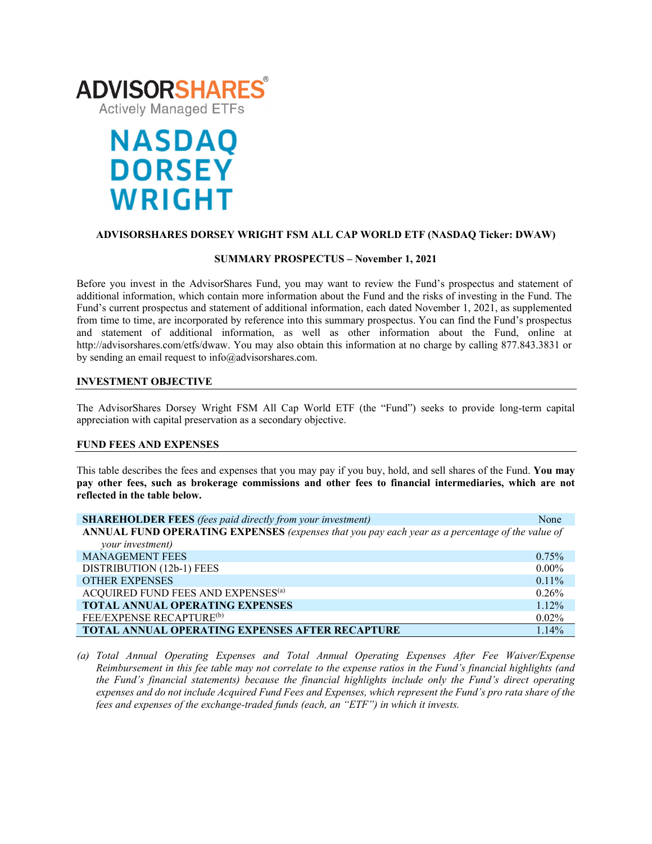

# **NASDAQ DORSEY WRIGHT**

# **ADVISORSHARES DORSEY WRIGHT FSM ALL CAP WORLD ETF (NASDAQ Ticker: DWAW)**

#### **SUMMARY PROSPECTUS – November 1, 2021**

Before you invest in the AdvisorShares Fund, you may want to review the Fund's prospectus and statement of additional information, which contain more information about the Fund and the risks of investing in the Fund. The Fund's current prospectus and statement of additional information, each dated November 1, 2021, as supplemented from time to time, are incorporated by reference into this summary prospectus. You can find the Fund's prospectus and statement of additional information, as well as other information about the Fund, online at http://advisorshares.com/etfs/dwaw. You may also obtain this information at no charge by calling 877.843.3831 or by sending an email request to info@advisorshares.com.

# **INVESTMENT OBJECTIVE**

The AdvisorShares Dorsey Wright FSM All Cap World ETF (the "Fund") seeks to provide long-term capital appreciation with capital preservation as a secondary objective.

#### **FUND FEES AND EXPENSES**

This table describes the fees and expenses that you may pay if you buy, hold, and sell shares of the Fund. **You may pay other fees, such as brokerage commissions and other fees to financial intermediaries, which are not reflected in the table below.**

| <b>SHAREHOLDER FEES</b> (fees paid directly from your investment)                               | None     |  |
|-------------------------------------------------------------------------------------------------|----------|--|
| ANNUAL FUND OPERATING EXPENSES (expenses that you pay each year as a percentage of the value of |          |  |
| your investment)                                                                                |          |  |
| <b>MANAGEMENT FEES</b>                                                                          | $0.75\%$ |  |
| DISTRIBUTION (12b-1) FEES                                                                       | $0.00\%$ |  |
| <b>OTHER EXPENSES</b>                                                                           | $0.11\%$ |  |
| ACQUIRED FUND FEES AND EXPENSES <sup>(a)</sup>                                                  | 0.26%    |  |
| <b>TOTAL ANNUAL OPERATING EXPENSES</b>                                                          | $1.12\%$ |  |
| FEE/EXPENSE RECAPTURE <sup>(b)</sup>                                                            | $0.02\%$ |  |
| <b>TOTAL ANNUAL OPERATING EXPENSES AFTER RECAPTURE</b>                                          | 1.14%    |  |

*(a) Total Annual Operating Expenses and Total Annual Operating Expenses After Fee Waiver/Expense Reimbursement in this fee table may not correlate to the expense ratios in the Fund's financial highlights (and the Fund's financial statements) because the financial highlights include only the Fund's direct operating expenses and do not include Acquired Fund Fees and Expenses, which represent the Fund's pro rata share of the fees and expenses of the exchange-traded funds (each, an "ETF") in which it invests.*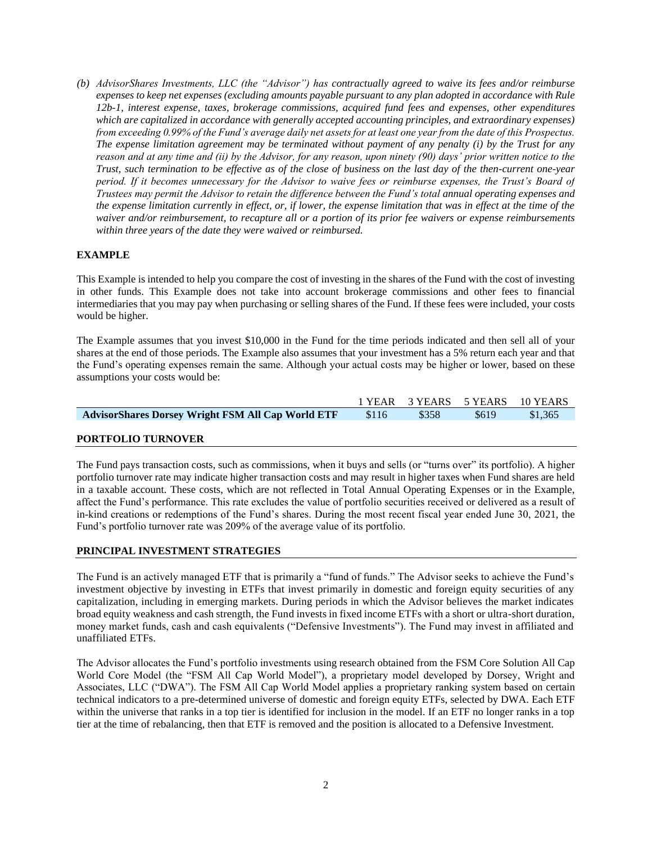*(b) AdvisorShares Investments, LLC (the "Advisor") has contractually agreed to waive its fees and/or reimburse expenses to keep net expenses (excluding amounts payable pursuant to any plan adopted in accordance with Rule 12b-1, interest expense, taxes, brokerage commissions, acquired fund fees and expenses, other expenditures which are capitalized in accordance with generally accepted accounting principles, and extraordinary expenses) from exceeding 0.99% of the Fund's average daily net assets for at least one year from the date of this Prospectus. The expense limitation agreement may be terminated without payment of any penalty (i) by the Trust for any reason and at any time and (ii) by the Advisor, for any reason, upon ninety (90) days' prior written notice to the Trust, such termination to be effective as of the close of business on the last day of the then-current one-year period. If it becomes unnecessary for the Advisor to waive fees or reimburse expenses, the Trust's Board of Trustees may permit the Advisor to retain the difference between the Fund's total annual operating expenses and the expense limitation currently in effect, or, if lower, the expense limitation that was in effect at the time of the waiver and/or reimbursement, to recapture all or a portion of its prior fee waivers or expense reimbursements within three years of the date they were waived or reimbursed.*

# **EXAMPLE**

This Example is intended to help you compare the cost of investing in the shares of the Fund with the cost of investing in other funds. This Example does not take into account brokerage commissions and other fees to financial intermediaries that you may pay when purchasing or selling shares of the Fund. If these fees were included, your costs would be higher.

The Example assumes that you invest \$10,000 in the Fund for the time periods indicated and then sell all of your shares at the end of those periods. The Example also assumes that your investment has a 5% return each year and that the Fund's operating expenses remain the same. Although your actual costs may be higher or lower, based on these assumptions your costs would be:

|                                                   |       |                        | 1 YEAR 3 YEARS 5 YEARS 10 YEARS |
|---------------------------------------------------|-------|------------------------|---------------------------------|
| AdvisorShares Dorsey Wright FSM All Cap World ETF | \$116 | $$358$ $$619$ $$1,365$ |                                 |
|                                                   |       |                        |                                 |

# **PORTFOLIO TURNOVER**

The Fund pays transaction costs, such as commissions, when it buys and sells (or "turns over" its portfolio). A higher portfolio turnover rate may indicate higher transaction costs and may result in higher taxes when Fund shares are held in a taxable account. These costs, which are not reflected in Total Annual Operating Expenses or in the Example, affect the Fund's performance. This rate excludes the value of portfolio securities received or delivered as a result of in-kind creations or redemptions of the Fund's shares. During the most recent fiscal year ended June 30, 2021, the Fund's portfolio turnover rate was 209% of the average value of its portfolio.

# **PRINCIPAL INVESTMENT STRATEGIES**

The Fund is an actively managed ETF that is primarily a "fund of funds." The Advisor seeks to achieve the Fund's investment objective by investing in ETFs that invest primarily in domestic and foreign equity securities of any capitalization, including in emerging markets. During periods in which the Advisor believes the market indicates broad equity weakness and cash strength, the Fund invests in fixed income ETFs with a short or ultra-short duration, money market funds, cash and cash equivalents ("Defensive Investments"). The Fund may invest in affiliated and unaffiliated ETFs.

The Advisor allocates the Fund's portfolio investments using research obtained from the FSM Core Solution All Cap World Core Model (the "FSM All Cap World Model"), a proprietary model developed by Dorsey, Wright and Associates, LLC ("DWA"). The FSM All Cap World Model applies a proprietary ranking system based on certain technical indicators to a pre-determined universe of domestic and foreign equity ETFs, selected by DWA. Each ETF within the universe that ranks in a top tier is identified for inclusion in the model. If an ETF no longer ranks in a top tier at the time of rebalancing, then that ETF is removed and the position is allocated to a Defensive Investment.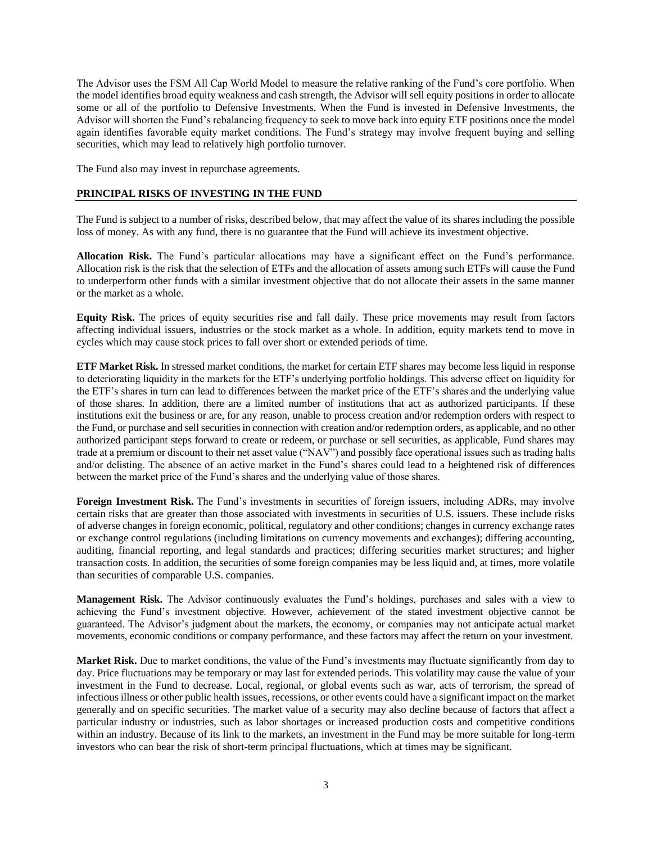The Advisor uses the FSM All Cap World Model to measure the relative ranking of the Fund's core portfolio. When the model identifies broad equity weakness and cash strength, the Advisor will sell equity positions in order to allocate some or all of the portfolio to Defensive Investments. When the Fund is invested in Defensive Investments, the Advisor will shorten the Fund's rebalancing frequency to seek to move back into equity ETF positions once the model again identifies favorable equity market conditions. The Fund's strategy may involve frequent buying and selling securities, which may lead to relatively high portfolio turnover.

The Fund also may invest in repurchase agreements.

### **PRINCIPAL RISKS OF INVESTING IN THE FUND**

The Fund is subject to a number of risks, described below, that may affect the value of its shares including the possible loss of money. As with any fund, there is no guarantee that the Fund will achieve its investment objective.

**Allocation Risk.** The Fund's particular allocations may have a significant effect on the Fund's performance. Allocation risk is the risk that the selection of ETFs and the allocation of assets among such ETFs will cause the Fund to underperform other funds with a similar investment objective that do not allocate their assets in the same manner or the market as a whole.

**Equity Risk.** The prices of equity securities rise and fall daily. These price movements may result from factors affecting individual issuers, industries or the stock market as a whole. In addition, equity markets tend to move in cycles which may cause stock prices to fall over short or extended periods of time.

**ETF Market Risk.** In stressed market conditions, the market for certain ETF shares may become less liquid in response to deteriorating liquidity in the markets for the ETF's underlying portfolio holdings. This adverse effect on liquidity for the ETF's shares in turn can lead to differences between the market price of the ETF's shares and the underlying value of those shares. In addition, there are a limited number of institutions that act as authorized participants. If these institutions exit the business or are, for any reason, unable to process creation and/or redemption orders with respect to the Fund, or purchase and sell securities in connection with creation and/or redemption orders, as applicable, and no other authorized participant steps forward to create or redeem, or purchase or sell securities, as applicable, Fund shares may trade at a premium or discount to their net asset value ("NAV") and possibly face operational issues such as trading halts and/or delisting. The absence of an active market in the Fund's shares could lead to a heightened risk of differences between the market price of the Fund's shares and the underlying value of those shares.

Foreign Investment Risk. The Fund's investments in securities of foreign issuers, including ADRs, may involve certain risks that are greater than those associated with investments in securities of U.S. issuers. These include risks of adverse changes in foreign economic, political, regulatory and other conditions; changes in currency exchange rates or exchange control regulations (including limitations on currency movements and exchanges); differing accounting, auditing, financial reporting, and legal standards and practices; differing securities market structures; and higher transaction costs. In addition, the securities of some foreign companies may be less liquid and, at times, more volatile than securities of comparable U.S. companies.

**Management Risk.** The Advisor continuously evaluates the Fund's holdings, purchases and sales with a view to achieving the Fund's investment objective. However, achievement of the stated investment objective cannot be guaranteed. The Advisor's judgment about the markets, the economy, or companies may not anticipate actual market movements, economic conditions or company performance, and these factors may affect the return on your investment.

**Market Risk.** Due to market conditions, the value of the Fund's investments may fluctuate significantly from day to day. Price fluctuations may be temporary or may last for extended periods. This volatility may cause the value of your investment in the Fund to decrease. Local, regional, or global events such as war, acts of terrorism, the spread of infectious illness or other public health issues, recessions, or other events could have a significant impact on the market generally and on specific securities. The market value of a security may also decline because of factors that affect a particular industry or industries, such as labor shortages or increased production costs and competitive conditions within an industry. Because of its link to the markets, an investment in the Fund may be more suitable for long-term investors who can bear the risk of short-term principal fluctuations, which at times may be significant.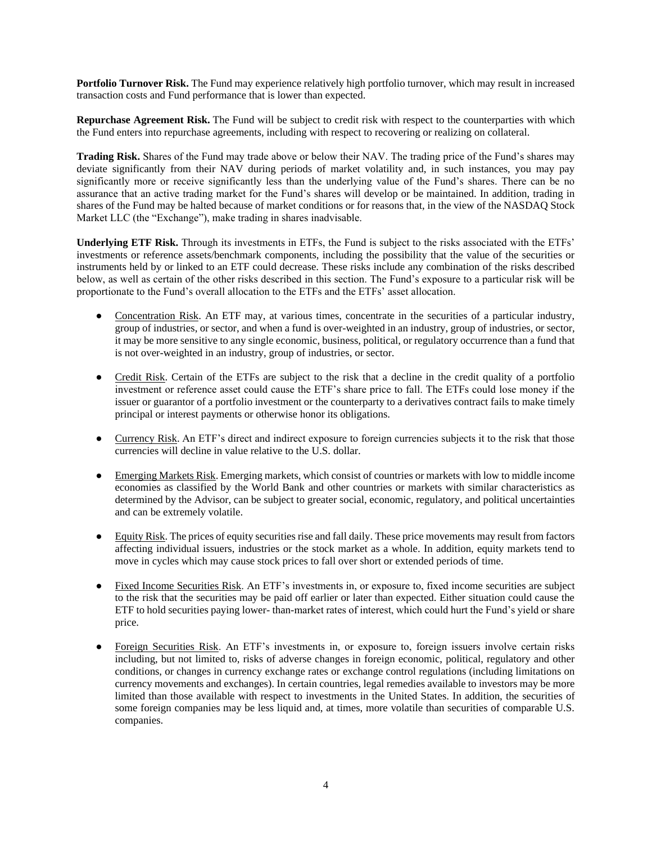**Portfolio Turnover Risk.** The Fund may experience relatively high portfolio turnover, which may result in increased transaction costs and Fund performance that is lower than expected.

**Repurchase Agreement Risk.** The Fund will be subject to credit risk with respect to the counterparties with which the Fund enters into repurchase agreements, including with respect to recovering or realizing on collateral.

**Trading Risk.** Shares of the Fund may trade above or below their NAV. The trading price of the Fund's shares may deviate significantly from their NAV during periods of market volatility and, in such instances, you may pay significantly more or receive significantly less than the underlying value of the Fund's shares. There can be no assurance that an active trading market for the Fund's shares will develop or be maintained. In addition, trading in shares of the Fund may be halted because of market conditions or for reasons that, in the view of the NASDAQ Stock Market LLC (the "Exchange"), make trading in shares inadvisable.

**Underlying ETF Risk.** Through its investments in ETFs, the Fund is subject to the risks associated with the ETFs' investments or reference assets/benchmark components, including the possibility that the value of the securities or instruments held by or linked to an ETF could decrease. These risks include any combination of the risks described below, as well as certain of the other risks described in this section. The Fund's exposure to a particular risk will be proportionate to the Fund's overall allocation to the ETFs and the ETFs' asset allocation.

- Concentration Risk. An ETF may, at various times, concentrate in the securities of a particular industry, group of industries, or sector, and when a fund is over-weighted in an industry, group of industries, or sector, it may be more sensitive to any single economic, business, political, or regulatory occurrence than a fund that is not over-weighted in an industry, group of industries, or sector.
- Credit Risk. Certain of the ETFs are subject to the risk that a decline in the credit quality of a portfolio investment or reference asset could cause the ETF's share price to fall. The ETFs could lose money if the issuer or guarantor of a portfolio investment or the counterparty to a derivatives contract fails to make timely principal or interest payments or otherwise honor its obligations.
- Currency Risk. An ETF's direct and indirect exposure to foreign currencies subjects it to the risk that those currencies will decline in value relative to the U.S. dollar.
- Emerging Markets Risk. Emerging markets, which consist of countries or markets with low to middle income economies as classified by the World Bank and other countries or markets with similar characteristics as determined by the Advisor, can be subject to greater social, economic, regulatory, and political uncertainties and can be extremely volatile.
- Equity Risk. The prices of equity securities rise and fall daily. These price movements may result from factors affecting individual issuers, industries or the stock market as a whole. In addition, equity markets tend to move in cycles which may cause stock prices to fall over short or extended periods of time.
- Fixed Income Securities Risk. An ETF's investments in, or exposure to, fixed income securities are subject to the risk that the securities may be paid off earlier or later than expected. Either situation could cause the ETF to hold securities paying lower- than-market rates of interest, which could hurt the Fund's yield or share price.
- Foreign Securities Risk. An ETF's investments in, or exposure to, foreign issuers involve certain risks including, but not limited to, risks of adverse changes in foreign economic, political, regulatory and other conditions, or changes in currency exchange rates or exchange control regulations (including limitations on currency movements and exchanges). In certain countries, legal remedies available to investors may be more limited than those available with respect to investments in the United States. In addition, the securities of some foreign companies may be less liquid and, at times, more volatile than securities of comparable U.S. companies.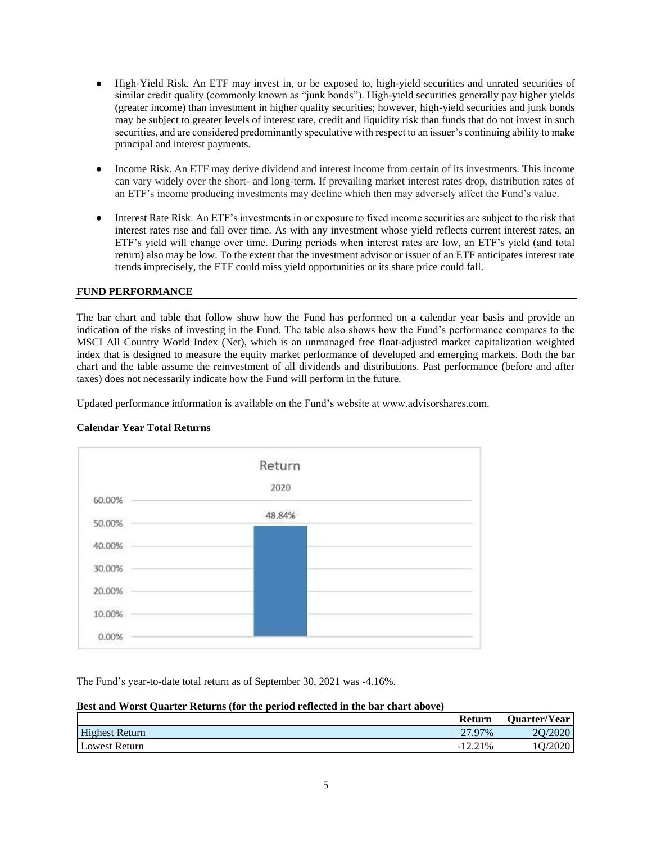- High-Yield Risk. An ETF may invest in, or be exposed to, high-yield securities and unrated securities of similar credit quality (commonly known as "junk bonds"). High-yield securities generally pay higher yields (greater income) than investment in higher quality securities; however, high-yield securities and junk bonds may be subject to greater levels of interest rate, credit and liquidity risk than funds that do not invest in such securities, and are considered predominantly speculative with respect to an issuer's continuing ability to make principal and interest payments.
- Income Risk. An ETF may derive dividend and interest income from certain of its investments. This income can vary widely over the short- and long-term. If prevailing market interest rates drop, distribution rates of an ETF's income producing investments may decline which then may adversely affect the Fund's value.
- Interest Rate Risk. An ETF's investments in or exposure to fixed income securities are subject to the risk that interest rates rise and fall over time. As with any investment whose yield reflects current interest rates, an ETF's yield will change over time. During periods when interest rates are low, an ETF's yield (and total return) also may be low. To the extent that the investment advisor or issuer of an ETF anticipates interest rate trends imprecisely, the ETF could miss yield opportunities or its share price could fall.

#### **FUND PERFORMANCE**

The bar chart and table that follow show how the Fund has performed on a calendar year basis and provide an indication of the risks of investing in the Fund. The table also shows how the Fund's performance compares to the MSCI All Country World Index (Net), which is an unmanaged free float-adjusted market capitalization weighted index that is designed to measure the equity market performance of developed and emerging markets. Both the bar chart and the table assume the reinvestment of all dividends and distributions. Past performance (before and after taxes) does not necessarily indicate how the Fund will perform in the future.

Updated performance information is available on the Fund's website at www.advisorshares.com.



# **Calendar Year Total Returns**

The Fund's year-to-date total return as of September 30, 2021 was -4.16%.

#### **Best and Worst Quarter Returns (for the period reflected in the bar chart above)**

|                       | <b>Return</b> | <b>Quarter/Year</b> |
|-----------------------|---------------|---------------------|
| <b>Highest Return</b> | 27.97%        | 20/2020             |
| <b>Lowest Return</b>  | $-12.21\%$    | Q/2020              |